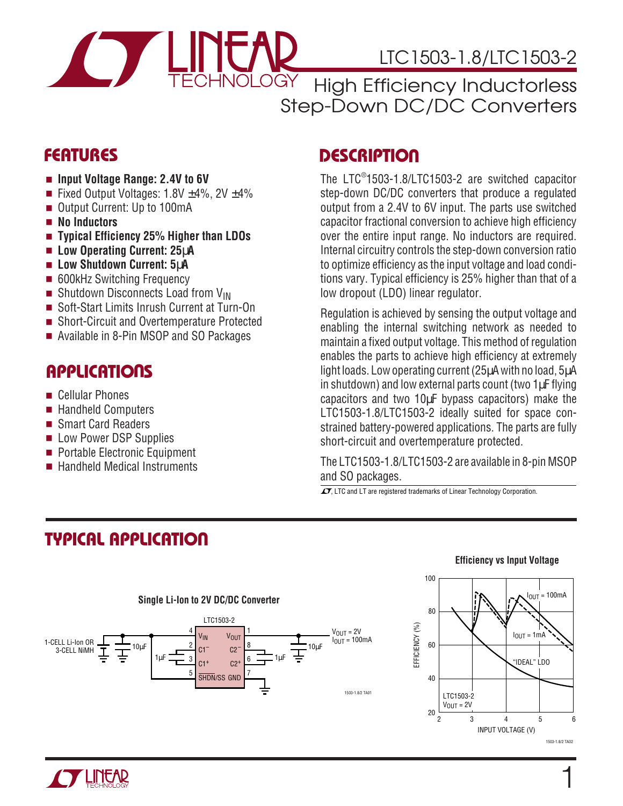

# LTC1503-1.8/LTC1503-2

High Efficiency Inductorless Step-Down DC/DC Converters

- **Input Voltage Range: 2.4V to 6V**
- Fixed Output Voltages:  $1.8V \pm 4\%$ ,  $2V \pm 4\%$
- Output Current: Up to 100mA
- **No Inductors**
- **Typical Efficiency 25% Higher than LDOs**
- **Low Operating Current: 25**µ**A**
- **Low Shutdown Current: 5**µ**A**
- 600kHz Switching Frequency
- Shutdown Disconnects Load from V<sub>IN</sub>
- Soft-Start Limits Inrush Current at Turn-On
- Short-Circuit and Overtemperature Protected
- Available in 8-Pin MSOP and SO Packages

### **APPLICATIONS**

- Cellular Phones
- Handheld Computers
- Smart Card Readers
- Low Power DSP Supplies
- Portable Electronic Equipment
- Handheld Medical Instruments

### **FEATURES DESCRIPTIO <sup>U</sup>**

The LTC® 1503-1.8/LTC1503-2 are switched capacitor step-down DC/DC converters that produce a regulated output from a 2.4V to 6V input. The parts use switched capacitor fractional conversion to achieve high efficiency over the entire input range. No inductors are required. Internal circuitry controls the step-down conversion ratio to optimize efficiency as the input voltage and load conditions vary. Typical efficiency is 25% higher than that of a low dropout (LDO) linear regulator.

Regulation is achieved by sensing the output voltage and enabling the internal switching network as needed to maintain a fixed output voltage. This method of regulation enables the parts to achieve high efficiency at extremely light loads. Low operating current (25µA with no load, 5µA in shutdown) and low external parts count (two 1µF flying capacitors and two 10µF bypass capacitors) make the LTC1503-1.8/LTC1503-2 ideally suited for space constrained battery-powered applications. The parts are fully short-circuit and overtemperature protected.

The LTC1503-1.8/LTC1503-2 are available in 8-pin MSOP and SO packages.

 $\overline{\mathcal{L}}$ , LTC and LT are registered trademarks of Linear Technology Corporation.

# **TYPICAL APPLICATION**











1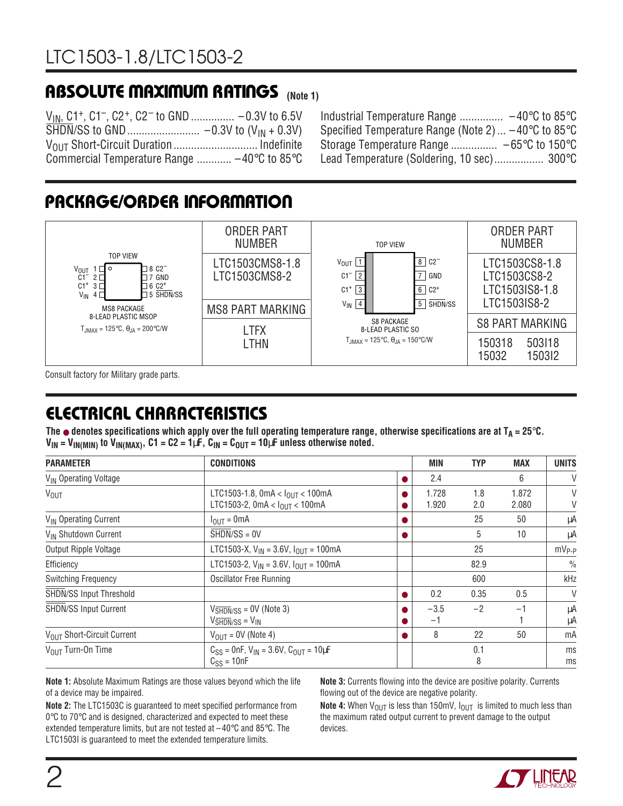# **ABSOLUTE MAXIMUM RATINGS** (Note 1)

VIN, C1+, C1–, C2+, C2– to GND ............... –0.3V to 6.5V SHDN/SS to GND......................... –0.3V to (VIN + 0.3V) V<sub>OUT</sub> Short-Circuit Duration ................................... Indefinite Commercial Temperature Range ............ –40°C to 85°C

Industrial Temperature Range ............... –40°C to 85°C Specified Temperature Range (Note 2) ... –40°C to 85°C Storage Temperature Range ................ – 65°C to 150°C Lead Temperature (Soldering, 10 sec)................. 300°C

# **PACKAGE/ORDER INFORMATION**



Consult factory for Military grade parts.

# **ELECTRICAL CHARACTERISTICS**

The  $\bullet$  denotes specifications which apply over the full operating temperature range, otherwise specifications are at  $T_A = 25^\circ \text{C}$ .  $V_{IN} = V_{IN(MIN)}$  to  $V_{IN(MAX)}$ ,  $C1 = C2 = 1 \mu F$ ,  $C_{IN} = C_{OUT} = 10 \mu F$  unless otherwise noted.

| <b>PARAMETER</b>                  | <b>CONDITIONS</b>                                                                                           |   | <b>MIN</b>     | <b>TYP</b> | <b>MAX</b>     | <b>UNITS</b>  |
|-----------------------------------|-------------------------------------------------------------------------------------------------------------|---|----------------|------------|----------------|---------------|
| V <sub>IN</sub> Operating Voltage |                                                                                                             | 0 | 2.4            |            | 6              | $\vee$        |
| <b>V<sub>OUT</sub></b>            | LTC1503-1.8, 0mA < $I_{OUT}$ < 100mA<br>LTC1503-2, 0mA < $I_{OIII}$ < 100mA                                 |   | 1.728<br>1.920 | 1.8<br>2.0 | 1.872<br>2.080 | V<br>V        |
| V <sub>IN</sub> Operating Current | $I_{OUT} = 0mA$                                                                                             |   |                | 25         | 50             | μA            |
| V <sub>IN</sub> Shutdown Current  | $SHDN/SS = 0V$                                                                                              |   |                | 5          | 10             | μA            |
| Output Ripple Voltage             | LTC1503-X, $V_{IN}$ = 3.6V, $I_{OUIT}$ = 100mA                                                              |   |                | 25         |                | $mV_{P-P}$    |
| Efficiency                        | LTC1503-2, $V_{IN}$ = 3.6V, $I_{OUIT}$ = 100mA                                                              |   |                | 82.9       |                | $\frac{0}{0}$ |
| <b>Switching Frequency</b>        | <b>Oscillator Free Running</b>                                                                              |   |                | 600        |                | kHz           |
| SHDN/SS Input Threshold           |                                                                                                             | o | 0.2            | 0.35       | 0.5            | $\vee$        |
| <b>SHDN/SS Input Current</b>      | $V_{\overline{\text{SHDN}}/\text{SS}} = \text{OV}$ (Note 3)<br>$V\overline{\text{SHDN}}$ /SS = $V\text{IN}$ |   | $-3.5$<br>$-1$ | $-2$       | $-1$           | μA<br>μA      |
| VOUT Short-Circuit Current        | $V_{OUT} = OV$ (Note 4)                                                                                     |   | 8              | 22         | 50             | mA            |
| V <sub>OUT</sub> Turn-On Time     | $C_{SS}$ = 0nF, $V_{IN}$ = 3.6V, $C_{OUT}$ = 10µF<br>$C_{SS} = 10nF$                                        |   |                | 0.1<br>8   |                | ms<br>ms      |

**Note 1:** Absolute Maximum Ratings are those values beyond which the life of a device may be impaired.

**Note 2:** The LTC1503C is guaranteed to meet specified performance from  $0^{\circ}$ C to 70 $^{\circ}$ C and is designed, characterized and expected to meet these extended temperature limits, but are not tested at  $-40^{\circ}$ C and 85 $^{\circ}$ C. The LTC1503I is guaranteed to meet the extended temperature limits.

**Note 3:** Currents flowing into the device are positive polarity. Currents flowing out of the device are negative polarity.

**Note 4:** When  $V_{\text{OUT}}$  is less than 150mV,  $I_{\text{OUT}}$  is limited to much less than the maximum rated output current to prevent damage to the output devices.

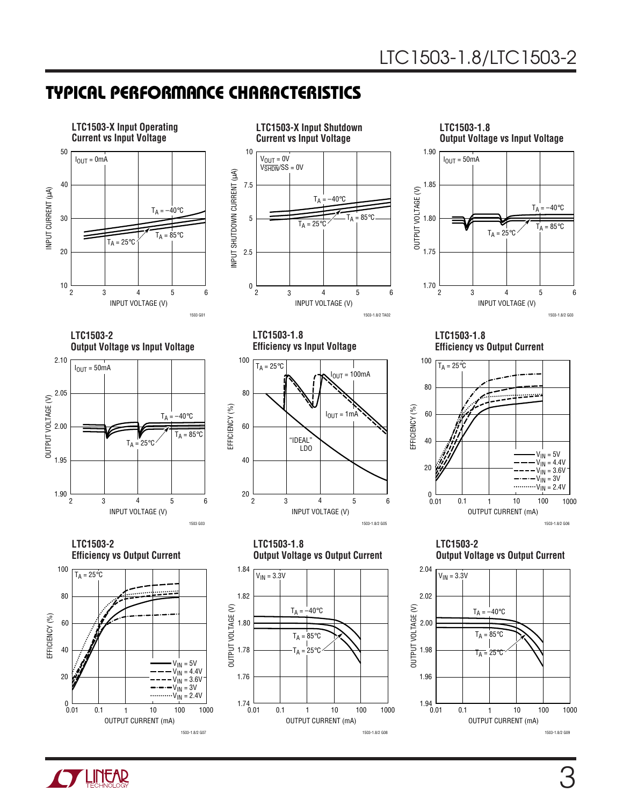## **TYPICAL PERFORMANCE CHARACTERISTICS**



**TLINEAR**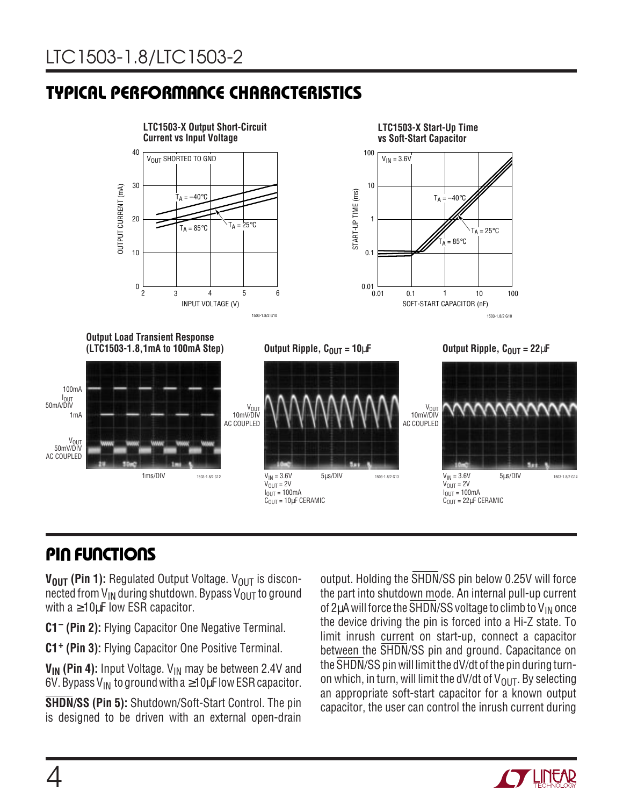# **TYPICAL PERFORMANCE CHARACTERISTICS**



# **PIN FUNCTIONS**

V<sub>OUT</sub> (Pin 1): Regulated Output Voltage. V<sub>OUT</sub> is disconnected from  $V_{IN}$  during shutdown. Bypass  $V_{OUT}$  to ground with a ≥10µF low ESR capacitor.

**C1– (Pin 2):** Flying Capacitor One Negative Terminal.

**C1+ (Pin 3):** Flying Capacitor One Positive Terminal.

**V<sub>IN</sub>** (Pin 4): Input Voltage. V<sub>IN</sub> may be between 2.4V and 6V. Bypass V<sub>IN</sub> to ground with a  $\geq 10 \mu$ F low ESR capacitor.

**SHDN/SS (Pin 5):** Shutdown/Soft-Start Control. The pin is designed to be driven with an external open-drain

output. Holding the SHDN/SS pin below 0.25V will force the part into shutdown mode. An internal pull-up current of 2 $\mu$ A will force the  $\overline{\text{SHDN}}$ /SS voltage to climb to V<sub>IN</sub> once the device driving the pin is forced into a Hi-Z state. To limit inrush current on start-up, connect a capacitor between the SHDN/SS pin and ground. Capacitance on the SHDN/SS pin will limit the dV/dt of the pin during turnon which, in turn, will limit the dV/dt of  $V_{\text{OUT}}$ . By selecting an appropriate soft-start capacitor for a known output capacitor, the user can control the inrush current during

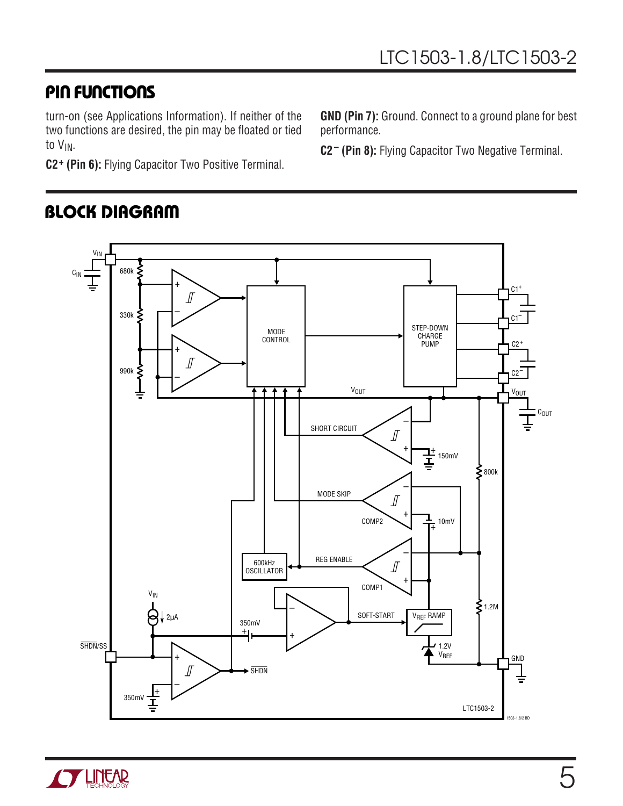### **PIN FUNCTIONS**

turn-on (see Applications Information). If neither of the two functions are desired, the pin may be floated or tied to V<sub>IN</sub>.

**C2+ (Pin 6):** Flying Capacitor Two Positive Terminal.

**BLOCK DIAGRAM** 

VIN 680k ş  $\mathtt{C_{IN}}$ +  $C1<sup>+</sup>$  $\int$ – 330k ≶  $C1^{-}$ STEP-DOWN MODE **CHARGE CONTROL** PUMP  $C2<sup>+</sup>$ + ∬ 990k ξ C2– – **V<sub>OUT</sub> V<sub>OUT</sub>** COUT ⋣ – SHORT CIRCUIT  $\int$ + + 150mV §800k – MODE SKIP  $\sqrt{2}$ + COMP2  $\sqrt{\frac{1}{10}}$  10mV  $\overline{1+}$ – REG ENABLE 600kHz  $\int$ OSCILLATOR + COMP1 VIN –  $\sum 1.2M$ SOFT-START VREF RAMP  $\frac{1}{2}$  2µA 350mV  $\pm$  $\overline{1}$ SHDN/SS  $1.2V$ VREF + **GND** ∬  $\rightarrow$  SHDN –  $\frac{1}{4}$ 350mV LTC1503-2



**GND (Pin 7):** Ground. Connect to a ground plane for best performance.

**C2– (Pin 8):** Flying Capacitor Two Negative Terminal.

1503-1.8/2 BD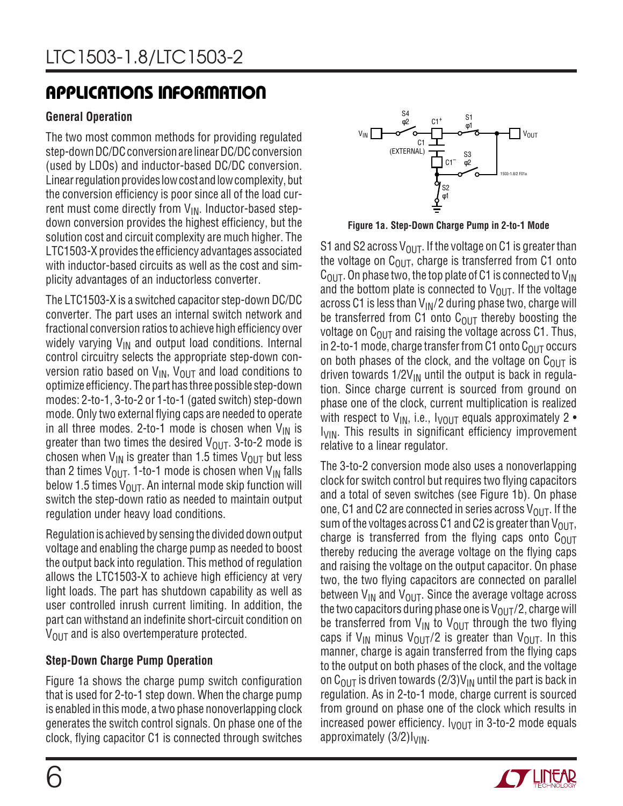### **General Operation**

The two most common methods for providing regulated step-down DC/DC conversion are linear DC/DC conversion (used by LDOs) and inductor-based DC/DC conversion. Linear regulation provides low cost and low complexity, but the conversion efficiency is poor since all of the load current must come directly from  $V_{IN}$ . Inductor-based stepdown conversion provides the highest efficiency, but the solution cost and circuit complexity are much higher. The LTC1503-X provides the efficiency advantages associated with inductor-based circuits as well as the cost and simplicity advantages of an inductorless converter.

The LTC1503-X is a switched capacitor step-down DC/DC converter. The part uses an internal switch network and fractional conversion ratios to achieve high efficiency over widely varying  $V_{IN}$  and output load conditions. Internal control circuitry selects the appropriate step-down conversion ratio based on  $V_{IN}$ ,  $V_{OUT}$  and load conditions to optimize efficiency. The part has three possible step-down modes: 2-to-1, 3-to-2 or 1-to-1 (gated switch) step-down mode. Only two external flying caps are needed to operate in all three modes. 2-to-1 mode is chosen when  $V_{IN}$  is greater than two times the desired  $V_{\text{OUT}}$ . 3-to-2 mode is chosen when  $V_{\text{IN}}$  is greater than 1.5 times  $V_{\text{OUT}}$  but less than 2 times  $V_{\text{OUT}}$ . 1-to-1 mode is chosen when  $V_{\text{IN}}$  falls below 1.5 times  $V_{\text{OUT}}$ . An internal mode skip function will switch the step-down ratio as needed to maintain output regulation under heavy load conditions.

Regulation is achieved by sensing the divided down output voltage and enabling the charge pump as needed to boost the output back into regulation. This method of regulation allows the LTC1503-X to achieve high efficiency at very light loads. The part has shutdown capability as well as user controlled inrush current limiting. In addition, the part can withstand an indefinite short-circuit condition on  $V_{\text{OUT}}$  and is also overtemperature protected.

### **Step-Down Charge Pump Operation**

Figure 1a shows the charge pump switch configuration that is used for 2-to-1 step down. When the charge pump is enabled in this mode, a two phase nonoverlapping clock generates the switch control signals. On phase one of the clock, flying capacitor C1 is connected through switches



**Figure 1a. Step-Down Charge Pump in 2-to-1 Mode**

S1 and S2 across  $V_{\text{OUT}}$ . If the voltage on C1 is greater than the voltage on  $C_{\text{OUT}}$ , charge is transferred from C1 onto  $C_{\text{OUT}}$ . On phase two, the top plate of C1 is connected to V<sub>IN</sub> and the bottom plate is connected to  $V_{\text{OUT}}$ . If the voltage across C1 is less than  $V_{\text{IN}}/2$  during phase two, charge will be transferred from C1 onto  $C_{OUT}$  thereby boosting the voltage on  $C_{\text{OUT}}$  and raising the voltage across C1. Thus, in 2-to-1 mode, charge transfer from C1 onto  $C_{\text{OUT}}$  occurs on both phases of the clock, and the voltage on  $C_{\text{OUT}}$  is driven towards  $1/2V_{IN}$  until the output is back in regulation. Since charge current is sourced from ground on phase one of the clock, current multiplication is realized with respect to  $V_{IN}$ , i.e.,  $V_{OUIT}$  equals approximately 2 • I<sub>VIN</sub>. This results in significant efficiency improvement relative to a linear regulator.

The 3-to-2 conversion mode also uses a nonoverlapping clock for switch control but requires two flying capacitors and a total of seven switches (see Figure 1b). On phase one, C1 and C2 are connected in series across  $V_{\Omega I}$ . If the sum of the voltages across C1 and C2 is greater than  $V_{\text{OUT}}$ , charge is transferred from the flying caps onto  $C<sub>OUT</sub>$ thereby reducing the average voltage on the flying caps and raising the voltage on the output capacitor. On phase two, the two flying capacitors are connected on parallel between  $V_{IN}$  and  $V_{OUIT}$ . Since the average voltage across the two capacitors during phase one is  $V_{\text{OUT}}/2$ , charge will be transferred from  $V_{IN}$  to  $V_{OUT}$  through the two flying caps if V<sub>IN</sub> minus V<sub>OUT</sub>/2 is greater than V<sub>OUT</sub>. In this manner, charge is again transferred from the flying caps to the output on both phases of the clock, and the voltage on C<sub>OUT</sub> is driven towards (2/3)V<sub>IN</sub> until the part is back in regulation. As in 2-to-1 mode, charge current is sourced from ground on phase one of the clock which results in increased power efficiency.  $I_{VOIII}$  in 3-to-2 mode equals approximately  $(3/2)I<sub>VIN</sub>$ .

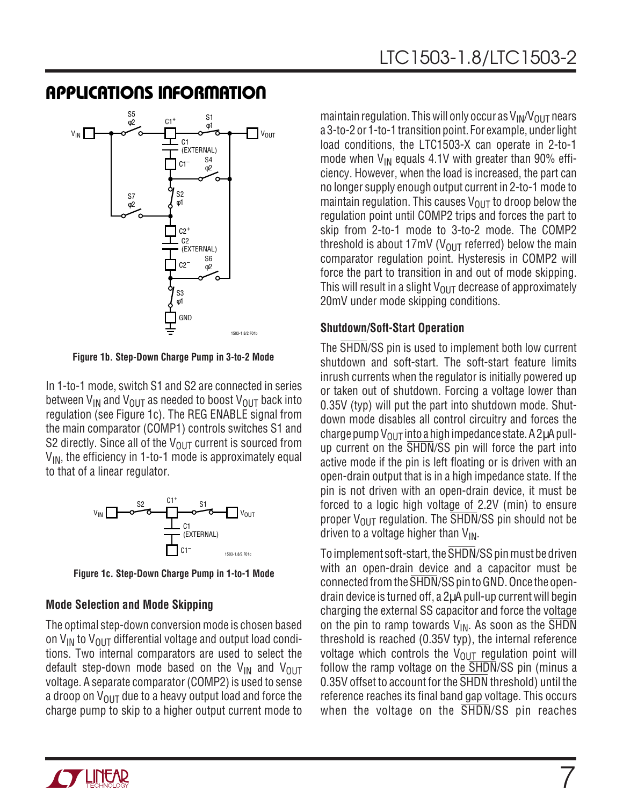

**Figure 1b. Step-Down Charge Pump in 3-to-2 Mode**

In 1-to-1 mode, switch S1 and S2 are connected in series between  $V_{IN}$  and  $V_{OUIT}$  as needed to boost  $V_{OUIT}$  back into regulation (see Figure 1c). The REG ENABLE signal from the main comparator (COMP1) controls switches S1 and S2 directly. Since all of the  $V_{\text{OUT}}$  current is sourced from  $V_{IN}$ , the efficiency in 1-to-1 mode is approximately equal to that of a linear regulator.



**Figure 1c. Step-Down Charge Pump in 1-to-1 Mode**

#### **Mode Selection and Mode Skipping**

The optimal step-down conversion mode is chosen based on  $V_{IN}$  to  $V_{OIII}$  differential voltage and output load conditions. Two internal comparators are used to select the default step-down mode based on the  $V_{IN}$  and  $V_{OUT}$ voltage. A separate comparator (COMP2) is used to sense a droop on  $V_{OUT}$  due to a heavy output load and force the charge pump to skip to a higher output current mode to maintain regulation. This will only occur as  $V_{IN}/V_{OUT}$  nears a 3-to-2 or 1-to-1 transition point. For example, under light load conditions, the LTC1503-X can operate in 2-to-1 mode when  $V_{IN}$  equals 4.1V with greater than 90% efficiency. However, when the load is increased, the part can no longer supply enough output current in 2-to-1 mode to maintain regulation. This causes  $V_{OUT}$  to droop below the regulation point until COMP2 trips and forces the part to skip from 2-to-1 mode to 3-to-2 mode. The COMP2 threshold is about 17mV ( $V_{\text{OUT}}$  referred) below the main comparator regulation point. Hysteresis in COMP2 will force the part to transition in and out of mode skipping. This will result in a slight  $V_{OUT}$  decrease of approximately 20mV under mode skipping conditions.

#### **Shutdown/Soft-Start Operation**

The SHDN/SS pin is used to implement both low current shutdown and soft-start. The soft-start feature limits inrush currents when the regulator is initially powered up or taken out of shutdown. Forcing a voltage lower than 0.35V (typ) will put the part into shutdown mode. Shutdown mode disables all control circuitry and forces the charge pump  $V_{OUT}$  into a high impedance state. A 2 $\mu$ A pullup current on the SHDN/SS pin will force the part into active mode if the pin is left floating or is driven with an open-drain output that is in a high impedance state. If the pin is not driven with an open-drain device, it must be forced to a logic high voltage of 2.2V (min) to ensure proper  $V_{\text{OUT}}$  regulation. The SHDN/SS pin should not be driven to a voltage higher than  $V_{IN}$ .

To implement soft-start, the SHDN/SS pin must be driven with an open-drain device and a capacitor must be connected from the SHDN/SS pin to GND. Once the opendrain device is turned off, a 2µA pull-up current will begin charging the external SS capacitor and force the voltage on the pin to ramp towards  $V_{IN}$ . As soon as the SHDN threshold is reached (0.35V typ), the internal reference voltage which controls the  $V_{\text{OUT}}$  regulation point will follow the ramp voltage on the SHDN/SS pin (minus a 0.35V offset to account for the SHDN threshold) until the reference reaches its final band gap voltage. This occurs when the voltage on the SHDN/SS pin reaches

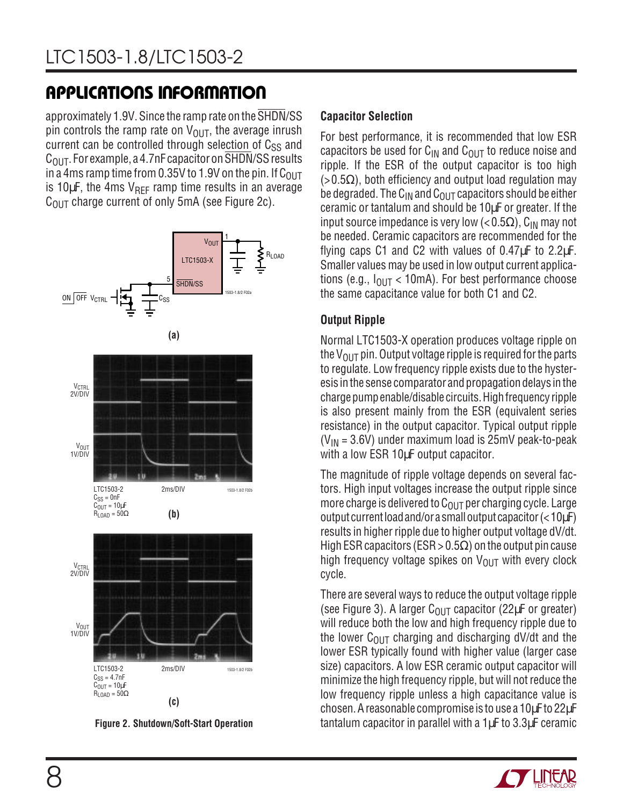approximately 1.9V. Since the ramp rate on the SHDN/SS pin controls the ramp rate on  $V_{\text{OUT}}$ , the average inrush current can be controlled through selection of  $C_{SS}$  and  $C<sub>OUT</sub>$ . For example, a 4.7nF capacitor on SHDN/SS results in a 4ms ramp time from 0.35V to 1.9V on the pin. If  $C_{\text{OUT}}$ is 10 $\mu$ F, the 4ms V<sub>REF</sub> ramp time results in an average  $C<sub>OIII</sub>$  charge current of only 5mA (see Figure 2c).





#### **Capacitor Selection**

For best performance, it is recommended that low ESR capacitors be used for  $C_{IN}$  and  $C_{OIII}$  to reduce noise and ripple. If the ESR of the output capacitor is too high  $(>0.5\Omega)$ , both efficiency and output load regulation may be degraded. The  $C_{IN}$  and  $C_{OUT}$  capacitors should be either ceramic or tantalum and should be 10µF or greater. If the input source impedance is very low ( $< 0.5\Omega$ ), C<sub>IN</sub> may not be needed. Ceramic capacitors are recommended for the flying caps C1 and C2 with values of  $0.47 \mu$ F to  $2.2 \mu$ F. Smaller values may be used in low output current applications (e.g.,  $I_{\text{OUT}}$  < 10mA). For best performance choose the same capacitance value for both C1 and C2.

### **Output Ripple**

Normal LTC1503-X operation produces voltage ripple on the  $V_{\text{OUT}}$  pin. Output voltage ripple is required for the parts to regulate. Low frequency ripple exists due to the hysteresis in the sense comparator and propagation delays in the charge pump enable/disable circuits. High frequency ripple is also present mainly from the ESR (equivalent series resistance) in the output capacitor. Typical output ripple  $(V_{IN} = 3.6V)$  under maximum load is 25mV peak-to-peak with a low ESR 10µF output capacitor.

The magnitude of ripple voltage depends on several factors. High input voltages increase the output ripple since more charge is delivered to  $C<sub>OUT</sub>$  per charging cycle. Large output current load and/or a small output capacitor  $(< 10<sub>U</sub>F)$ results in higher ripple due to higher output voltage dV/dt. High ESR capacitors (ESR > 0.5 $\Omega$ ) on the output pin cause high frequency voltage spikes on  $V_{\text{OUT}}$  with every clock cycle.

There are several ways to reduce the output voltage ripple (see Figure 3). A larger  $C_{\text{OUT}}$  capacitor (22 $\mu$ F or greater) will reduce both the low and high frequency ripple due to the lower  $C_{\text{OUT}}$  charging and discharging dV/dt and the lower ESR typically found with higher value (larger case size) capacitors. A low ESR ceramic output capacitor will minimize the high frequency ripple, but will not reduce the low frequency ripple unless a high capacitance value is chosen. A reasonable compromise is to use a 10µF to 22µF tantalum capacitor in parallel with a 1µF to 3.3µF ceramic

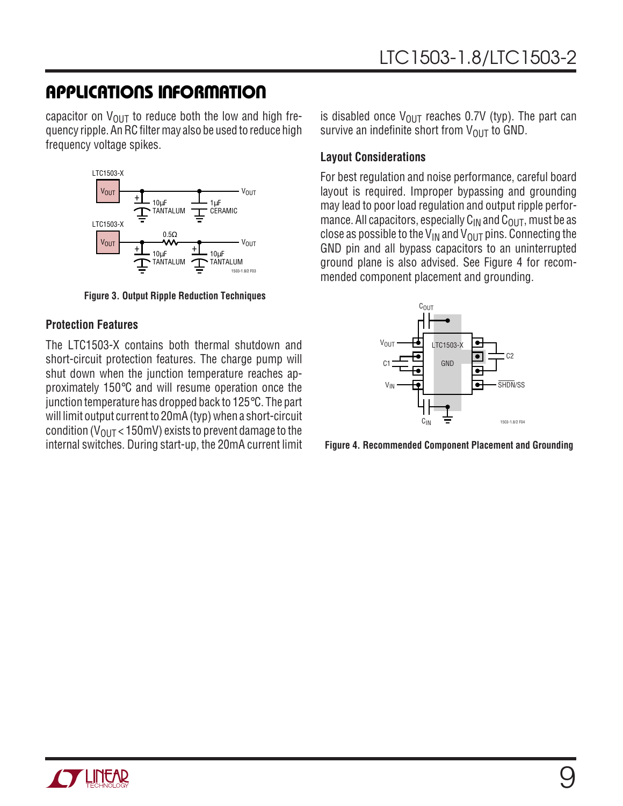capacitor on  $V_{\text{OUT}}$  to reduce both the low and high frequency ripple. An RC filter may also be used to reduce high frequency voltage spikes.



**Figure 3. Output Ripple Reduction Techniques**

#### **Protection Features**

The LTC1503-X contains both thermal shutdown and short-circuit protection features. The charge pump will shut down when the junction temperature reaches approximately 150°C and will resume operation once the junction temperature has dropped back to 125°C. The part will limit output current to 20mA (typ) when a short-circuit condition ( $V_{OUT}$  < 150mV) exists to prevent damage to the internal switches. During start-up, the 20mA current limit

is disabled once  $V_{\text{OUT}}$  reaches 0.7V (typ). The part can survive an indefinite short from  $V_{\text{OUT}}$  to GND.

#### **Layout Considerations**

For best regulation and noise performance, careful board layout is required. Improper bypassing and grounding may lead to poor load regulation and output ripple performance. All capacitors, especially  $C_{IN}$  and  $C_{OUT}$ , must be as close as possible to the V<sub>IN</sub> and V<sub>OUT</sub> pins. Connecting the GND pin and all bypass capacitors to an uninterrupted ground plane is also advised. See Figure 4 for recommended component placement and grounding.



**Figure 4. Recommended Component Placement and Grounding**

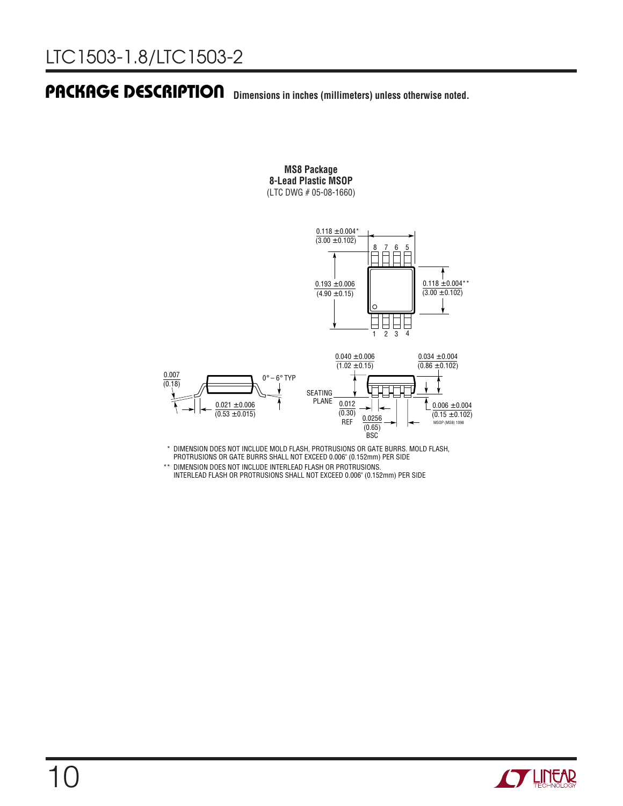### **Dimensions in inches (millimeters) unless otherwise noted. U PACKAGE DESCRIPTIO**

#### **MS8 Package 8-Lead Plastic MSOP** (LTC DWG # 05-08-1660)





\* DIMENSION DOES NOT INCLUDE MOLD FLASH, PROTRUSIONS OR GATE BURRS. MOLD FLASH, PROTRUSIONS OR GATE BURRS SHALL NOT EXCEED 0.006" (0.152mm) PER SIDE

\*\* DIMENSION DOES NOT INCLUDE INTERLEAD FLASH OR PROTRUSIONS. INTERLEAD FLASH OR PROTRUSIONS SHALL NOT EXCEED 0.006" (0.152mm) PER SIDE

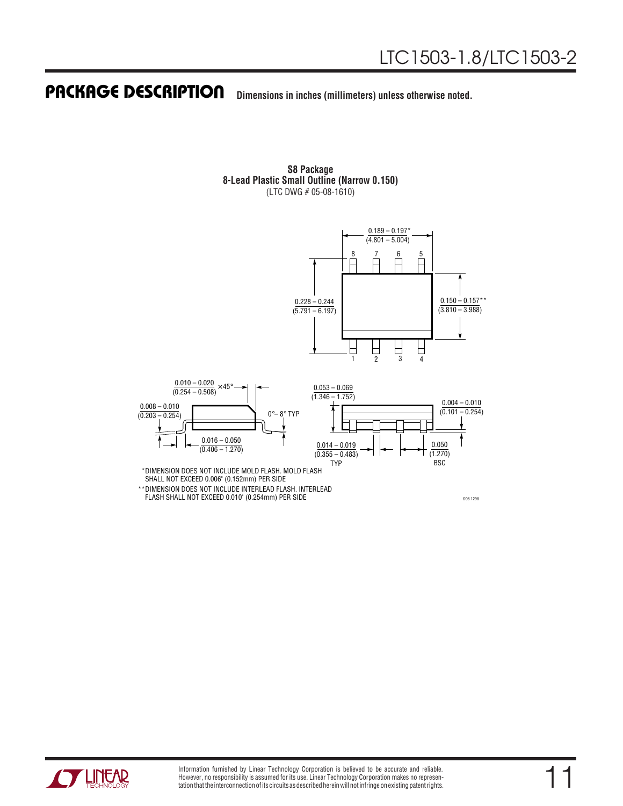#### **Dimensions in inches (millimeters) unless otherwise noted. U PACKAGE DESCRIPTIO**

**S8 Package 8-Lead Plastic Small Outline (Narrow 0.150)** (LTC DWG # 05-08-1610)